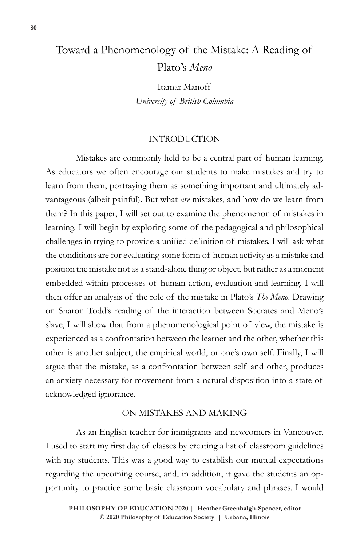# Toward a Phenomenology of the Mistake: A Reading of Plato's *Meno*

Itamar Manoff *University of British Columbia*

## INTRODUCTION

Mistakes are commonly held to be a central part of human learning. As educators we often encourage our students to make mistakes and try to learn from them, portraying them as something important and ultimately advantageous (albeit painful). But what *are* mistakes, and how do we learn from them? In this paper, I will set out to examine the phenomenon of mistakes in learning. I will begin by exploring some of the pedagogical and philosophical challenges in trying to provide a unified definition of mistakes. I will ask what the conditions are for evaluating some form of human activity as a mistake and position the mistake not as a stand-alone thing or object, but rather as a moment embedded within processes of human action, evaluation and learning*.* I will then offer an analysis of the role of the mistake in Plato's *The Meno*. Drawing on Sharon Todd's reading of the interaction between Socrates and Meno's slave, I will show that from a phenomenological point of view, the mistake is experienced as a confrontation between the learner and the other, whether this other is another subject, the empirical world, or one's own self. Finally, I will argue that the mistake, as a confrontation between self and other, produces an anxiety necessary for movement from a natural disposition into a state of acknowledged ignorance.

# ON MISTAKES AND MAKING

As an English teacher for immigrants and newcomers in Vancouver, I used to start my first day of classes by creating a list of classroom guidelines with my students. This was a good way to establish our mutual expectations regarding the upcoming course, and, in addition, it gave the students an opportunity to practice some basic classroom vocabulary and phrases. I would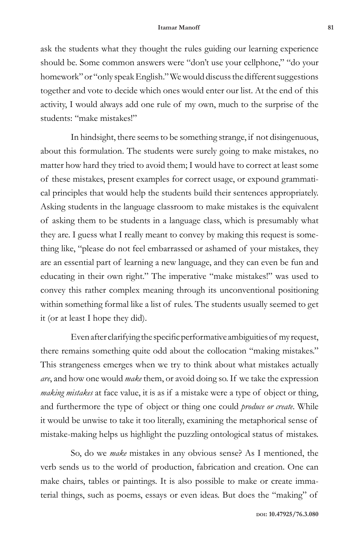ask the students what they thought the rules guiding our learning experience should be. Some common answers were "don't use your cellphone," "do your homework" or "only speak English." We would discuss the different suggestions together and vote to decide which ones would enter our list. At the end of this activity, I would always add one rule of my own, much to the surprise of the students: "make mistakes!"

In hindsight, there seems to be something strange, if not disingenuous, about this formulation. The students were surely going to make mistakes, no matter how hard they tried to avoid them; I would have to correct at least some of these mistakes, present examples for correct usage, or expound grammatical principles that would help the students build their sentences appropriately. Asking students in the language classroom to make mistakes is the equivalent of asking them to be students in a language class, which is presumably what they are. I guess what I really meant to convey by making this request is something like, "please do not feel embarrassed or ashamed of your mistakes, they are an essential part of learning a new language, and they can even be fun and educating in their own right." The imperative "make mistakes!" was used to convey this rather complex meaning through its unconventional positioning within something formal like a list of rules. The students usually seemed to get it (or at least I hope they did).

Even after clarifying the specific performative ambiguities of my request, there remains something quite odd about the collocation "making mistakes." This strangeness emerges when we try to think about what mistakes actually *are*, and how one would *make* them, or avoid doing so. If we take the expression *making mistakes* at face value, it is as if a mistake were a type of object or thing, and furthermore the type of object or thing one could *produce or create*. While it would be unwise to take it too literally, examining the metaphorical sense of mistake-making helps us highlight the puzzling ontological status of mistakes.

So, do we *make* mistakes in any obvious sense? As I mentioned, the verb sends us to the world of production, fabrication and creation. One can make chairs, tables or paintings. It is also possible to make or create immaterial things, such as poems, essays or even ideas. But does the "making" of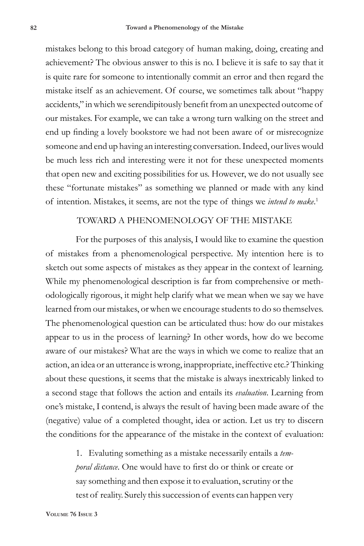mistakes belong to this broad category of human making, doing, creating and achievement? The obvious answer to this is no. I believe it is safe to say that it is quite rare for someone to intentionally commit an error and then regard the mistake itself as an achievement. Of course, we sometimes talk about "happy accidents," in which we serendipitously benefit from an unexpected outcome of our mistakes. For example, we can take a wrong turn walking on the street and end up finding a lovely bookstore we had not been aware of or misrecognize someone and end up having an interesting conversation. Indeed, our lives would be much less rich and interesting were it not for these unexpected moments that open new and exciting possibilities for us. However, we do not usually see these "fortunate mistakes" as something we planned or made with any kind of intention. Mistakes, it seems, are not the type of things we *intend to make*. 1

## TOWARD A PHENOMENOLOGY OF THE MISTAKE

For the purposes of this analysis, I would like to examine the question of mistakes from a phenomenological perspective. My intention here is to sketch out some aspects of mistakes as they appear in the context of learning. While my phenomenological description is far from comprehensive or methodologically rigorous, it might help clarify what we mean when we say we have learned from our mistakes, or when we encourage students to do so themselves. The phenomenological question can be articulated thus: how do our mistakes appear to us in the process of learning? In other words, how do we become aware of our mistakes? What are the ways in which we come to realize that an action, an idea or an utterance is wrong, inappropriate, ineffective etc.? Thinking about these questions, it seems that the mistake is always inextricably linked to a second stage that follows the action and entails its *evaluation*. Learning from one's mistake, I contend, is always the result of having been made aware of the (negative) value of a completed thought, idea or action. Let us try to discern the conditions for the appearance of the mistake in the context of evaluation:

> 1. Evaluting something as a mistake necessarily entails a *temporal distance*. One would have to first do or think or create or say something and then expose it to evaluation, scrutiny or the test of reality. Surely this succession of events can happen very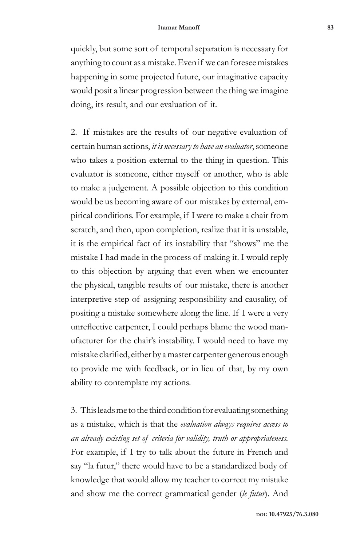quickly, but some sort of temporal separation is necessary for anything to count as a mistake. Even if we can foresee mistakes happening in some projected future, our imaginative capacity would posit a linear progression between the thing we imagine doing, its result, and our evaluation of it.

2. If mistakes are the results of our negative evaluation of certain human actions, *it is necessary to have an evaluator*, someone who takes a position external to the thing in question. This evaluator is someone, either myself or another, who is able to make a judgement. A possible objection to this condition would be us becoming aware of our mistakes by external, empirical conditions. For example, if I were to make a chair from scratch, and then, upon completion, realize that it is unstable, it is the empirical fact of its instability that "shows" me the mistake I had made in the process of making it. I would reply to this objection by arguing that even when we encounter the physical, tangible results of our mistake, there is another interpretive step of assigning responsibility and causality, of positing a mistake somewhere along the line. If I were a very unreflective carpenter, I could perhaps blame the wood manufacturer for the chair's instability. I would need to have my mistake clarified, either by a master carpenter generous enough to provide me with feedback, or in lieu of that, by my own ability to contemplate my actions.

3. This leads me to the third condition for evaluating something as a mistake, which is that the *evaluation always requires access to an already existing set of criteria for validity, truth or appropriateness.*  For example, if I try to talk about the future in French and say "la futur," there would have to be a standardized body of knowledge that would allow my teacher to correct my mistake and show me the correct grammatical gender (*le futur*). And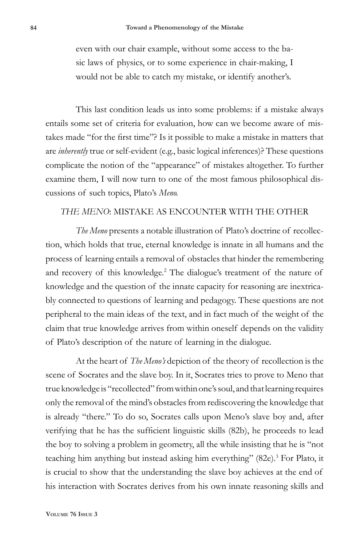even with our chair example, without some access to the basic laws of physics, or to some experience in chair-making, I would not be able to catch my mistake, or identify another's.

This last condition leads us into some problems: if a mistake always entails some set of criteria for evaluation, how can we become aware of mistakes made "for the first time"? Is it possible to make a mistake in matters that are *inherently* true or self-evident (e.g., basic logical inferences)? These questions complicate the notion of the "appearance" of mistakes altogether. To further examine them, I will now turn to one of the most famous philosophical discussions of such topics, Plato's *Meno.* 

## *THE MENO*: MISTAKE AS ENCOUNTER WITH THE OTHER

*The Meno* presents a notable illustration of Plato's doctrine of recollection, which holds that true, eternal knowledge is innate in all humans and the process of learning entails a removal of obstacles that hinder the remembering and recovery of this knowledge.<sup>2</sup> The dialogue's treatment of the nature of knowledge and the question of the innate capacity for reasoning are inextricably connected to questions of learning and pedagogy. These questions are not peripheral to the main ideas of the text, and in fact much of the weight of the claim that true knowledge arrives from within oneself depends on the validity of Plato's description of the nature of learning in the dialogue.

At the heart of *The Meno's* depiction of the theory of recollection is the scene of Socrates and the slave boy. In it, Socrates tries to prove to Meno that true knowledge is "recollected" from within one's soul, and that learning requires only the removal of the mind's obstacles from rediscovering the knowledge that is already "there." To do so, Socrates calls upon Meno's slave boy and, after verifying that he has the sufficient linguistic skills (82b), he proceeds to lead the boy to solving a problem in geometry, all the while insisting that he is "not teaching him anything but instead asking him everything" (82e).<sup>3</sup> For Plato, it is crucial to show that the understanding the slave boy achieves at the end of his interaction with Socrates derives from his own innate reasoning skills and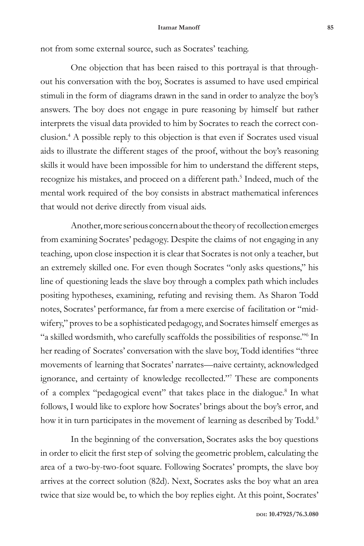not from some external source, such as Socrates' teaching.

One objection that has been raised to this portrayal is that throughout his conversation with the boy, Socrates is assumed to have used empirical stimuli in the form of diagrams drawn in the sand in order to analyze the boy's answers. The boy does not engage in pure reasoning by himself but rather interprets the visual data provided to him by Socrates to reach the correct conclusion.4 A possible reply to this objection is that even if Socrates used visual aids to illustrate the different stages of the proof, without the boy's reasoning skills it would have been impossible for him to understand the different steps, recognize his mistakes, and proceed on a different path.<sup>5</sup> Indeed, much of the mental work required of the boy consists in abstract mathematical inferences that would not derive directly from visual aids.

Another, more serious concern about the theory of recollection emerges from examining Socrates' pedagogy. Despite the claims of not engaging in any teaching, upon close inspection it is clear that Socrates is not only a teacher, but an extremely skilled one. For even though Socrates "only asks questions," his line of questioning leads the slave boy through a complex path which includes positing hypotheses, examining, refuting and revising them. As Sharon Todd notes, Socrates' performance, far from a mere exercise of facilitation or "midwifery," proves to be a sophisticated pedagogy, and Socrates himself emerges as "a skilled wordsmith, who carefully scaffolds the possibilities of response."6 In her reading of Socrates' conversation with the slave boy, Todd identifies "three movements of learning that Socrates' narrates—naive certainty, acknowledged ignorance, and certainty of knowledge recollected."7 These are components of a complex "pedagogical event" that takes place in the dialogue.<sup>8</sup> In what follows, I would like to explore how Socrates' brings about the boy's error, and how it in turn participates in the movement of learning as described by Todd.<sup>9</sup>

In the beginning of the conversation, Socrates asks the boy questions in order to elicit the first step of solving the geometric problem, calculating the area of a two-by-two-foot square. Following Socrates' prompts, the slave boy arrives at the correct solution (82d). Next, Socrates asks the boy what an area twice that size would be, to which the boy replies eight. At this point, Socrates'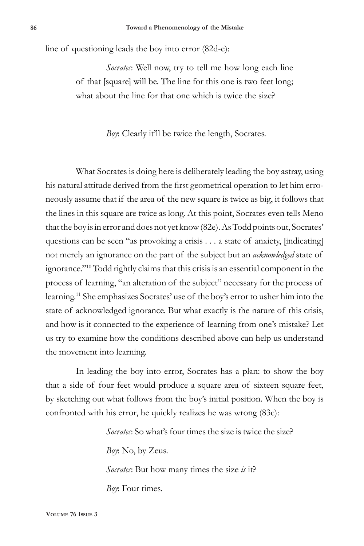line of questioning leads the boy into error (82d-e):

*Socrates*: Well now, try to tell me how long each line of that [square] will be. The line for this one is two feet long; what about the line for that one which is twice the size?

*Boy*: Clearly it'll be twice the length, Socrates.

What Socrates is doing here is deliberately leading the boy astray, using his natural attitude derived from the first geometrical operation to let him erroneously assume that if the area of the new square is twice as big, it follows that the lines in this square are twice as long. At this point, Socrates even tells Meno that the boy is in error and does not yet know (82e). As Todd points out, Socrates' questions can be seen "as provoking a crisis . . . a state of anxiety, [indicating] not merely an ignorance on the part of the subject but an *acknowledged* state of ignorance."10 Todd rightly claims that this crisis is an essential component in the process of learning, "an alteration of the subject" necessary for the process of learning.11 She emphasizes Socrates' use of the boy's error to usher him into the state of acknowledged ignorance. But what exactly is the nature of this crisis, and how is it connected to the experience of learning from one's mistake? Let us try to examine how the conditions described above can help us understand the movement into learning.

In leading the boy into error, Socrates has a plan: to show the boy that a side of four feet would produce a square area of sixteen square feet, by sketching out what follows from the boy's initial position. When the boy is confronted with his error, he quickly realizes he was wrong (83c):

> *Socrates*: So what's four times the size is twice the size? *Boy*: No, by Zeus. *Socrates*: But how many times the size *is* it? *Boy*: Four times.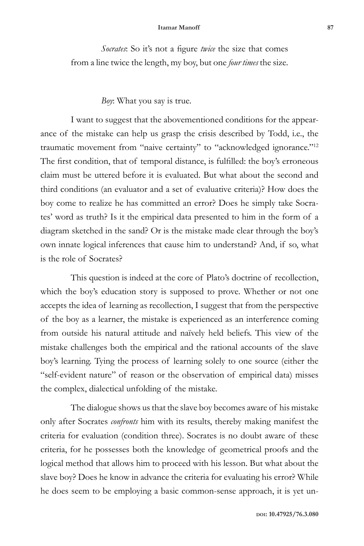#### **Itamar Manoff 87**

*Socrates*: So it's not a figure *twice* the size that comes from a line twice the length, my boy, but one *four times* the size.

## *Boy*: What you say is true.

I want to suggest that the abovementioned conditions for the appearance of the mistake can help us grasp the crisis described by Todd, i.e., the traumatic movement from "naive certainty" to "acknowledged ignorance."12 The first condition, that of temporal distance, is fulfilled: the boy's erroneous claim must be uttered before it is evaluated. But what about the second and third conditions (an evaluator and a set of evaluative criteria)? How does the boy come to realize he has committed an error? Does he simply take Socrates' word as truth? Is it the empirical data presented to him in the form of a diagram sketched in the sand? Or is the mistake made clear through the boy's own innate logical inferences that cause him to understand? And, if so, what is the role of Socrates?

This question is indeed at the core of Plato's doctrine of recollection, which the boy's education story is supposed to prove. Whether or not one accepts the idea of learning as recollection, I suggest that from the perspective of the boy as a learner, the mistake is experienced as an interference coming from outside his natural attitude and naïvely held beliefs. This view of the mistake challenges both the empirical and the rational accounts of the slave boy's learning. Tying the process of learning solely to one source (either the "self-evident nature" of reason or the observation of empirical data) misses the complex, dialectical unfolding of the mistake.

The dialogue shows us that the slave boy becomes aware of his mistake only after Socrates *confronts* him with its results, thereby making manifest the criteria for evaluation (condition three). Socrates is no doubt aware of these criteria, for he possesses both the knowledge of geometrical proofs and the logical method that allows him to proceed with his lesson. But what about the slave boy? Does he know in advance the criteria for evaluating his error? While he does seem to be employing a basic common-sense approach, it is yet un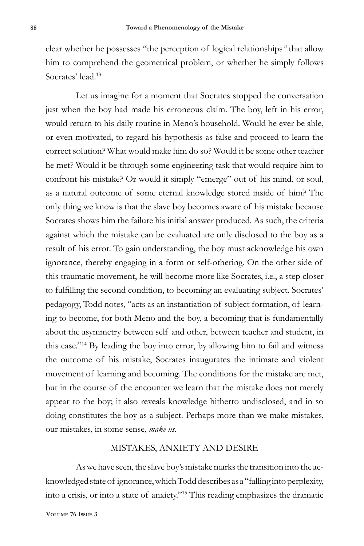clear whether he possesses "the perception of logical relationships*"* that allow him to comprehend the geometrical problem, or whether he simply follows Socrates' lead.<sup>13</sup>

Let us imagine for a moment that Socrates stopped the conversation just when the boy had made his erroneous claim. The boy, left in his error, would return to his daily routine in Meno's household. Would he ever be able, or even motivated, to regard his hypothesis as false and proceed to learn the correct solution? What would make him do so? Would it be some other teacher he met? Would it be through some engineering task that would require him to confront his mistake? Or would it simply "emerge" out of his mind, or soul, as a natural outcome of some eternal knowledge stored inside of him? The only thing we know is that the slave boy becomes aware of his mistake because Socrates shows him the failure his initial answer produced. As such, the criteria against which the mistake can be evaluated are only disclosed to the boy as a result of his error. To gain understanding, the boy must acknowledge his own ignorance, thereby engaging in a form or self-othering. On the other side of this traumatic movement, he will become more like Socrates, i.e., a step closer to fulfilling the second condition, to becoming an evaluating subject. Socrates' pedagogy, Todd notes, "acts as an instantiation of subject formation, of learning to become, for both Meno and the boy, a becoming that is fundamentally about the asymmetry between self and other, between teacher and student, in this case."14 By leading the boy into error, by allowing him to fail and witness the outcome of his mistake, Socrates inaugurates the intimate and violent movement of learning and becoming. The conditions for the mistake are met, but in the course of the encounter we learn that the mistake does not merely appear to the boy; it also reveals knowledge hitherto undisclosed, and in so doing constitutes the boy as a subject. Perhaps more than we make mistakes, our mistakes, in some sense, *make us.*

## MISTAKES, ANXIETY AND DESIRE

As we have seen, the slave boy's mistake marks the transition into the acknowledged state of ignorance, which Todd describes as a "falling into perplexity, into a crisis, or into a state of anxiety."15 This reading emphasizes the dramatic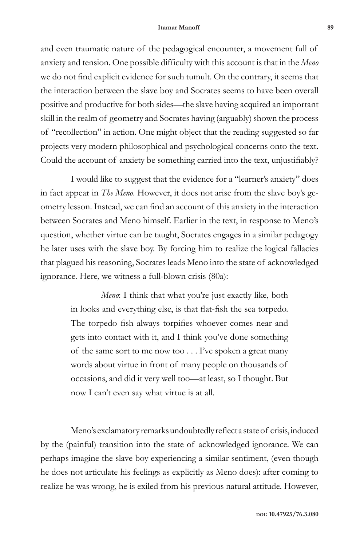#### **Itamar Manoff 89**

and even traumatic nature of the pedagogical encounter, a movement full of anxiety and tension. One possible difficulty with this account is that in the *Meno* we do not find explicit evidence for such tumult. On the contrary, it seems that the interaction between the slave boy and Socrates seems to have been overall positive and productive for both sides—the slave having acquired an important skill in the realm of geometry and Socrates having (arguably) shown the process of "recollection" in action. One might object that the reading suggested so far projects very modern philosophical and psychological concerns onto the text. Could the account of anxiety be something carried into the text, unjustifiably?

I would like to suggest that the evidence for a "learner's anxiety" does in fact appear in *The Meno*. However, it does not arise from the slave boy's geometry lesson. Instead, we can find an account of this anxiety in the interaction between Socrates and Meno himself. Earlier in the text, in response to Meno's question, whether virtue can be taught, Socrates engages in a similar pedagogy he later uses with the slave boy. By forcing him to realize the logical fallacies that plagued his reasoning, Socrates leads Meno into the state of acknowledged ignorance. Here, we witness a full-blown crisis (80a):

> *Meno*: I think that what you're just exactly like, both in looks and everything else, is that flat-fish the sea torpedo. The torpedo fish always torpifies whoever comes near and gets into contact with it, and I think you've done something of the same sort to me now too . . . I've spoken a great many words about virtue in front of many people on thousands of occasions, and did it very well too—at least, so I thought. But now I can't even say what virtue is at all.

Meno's exclamatory remarks undoubtedly reflect a state of crisis, induced by the (painful) transition into the state of acknowledged ignorance. We can perhaps imagine the slave boy experiencing a similar sentiment, (even though he does not articulate his feelings as explicitly as Meno does): after coming to realize he was wrong, he is exiled from his previous natural attitude. However,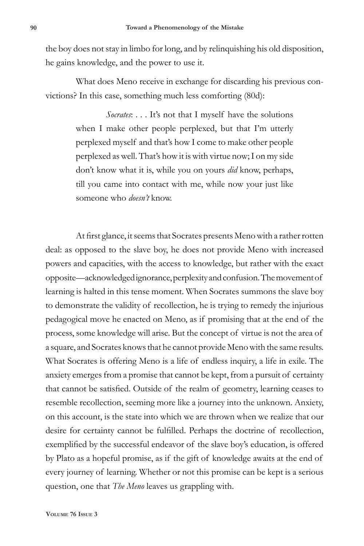the boy does not stay in limbo for long, and by relinquishing his old disposition, he gains knowledge, and the power to use it.

What does Meno receive in exchange for discarding his previous convictions? In this case, something much less comforting (80d):

> *Socrates*: . . . It's not that I myself have the solutions when I make other people perplexed, but that I'm utterly perplexed myself and that's how I come to make other people perplexed as well. That's how it is with virtue now; I on my side don't know what it is, while you on yours *did* know, perhaps, till you came into contact with me, while now your just like someone who *doesn't* know.

At first glance, it seems that Socrates presents Meno with a rather rotten deal: as opposed to the slave boy, he does not provide Meno with increased powers and capacities, with the access to knowledge, but rather with the exact opposite—acknowledged ignorance, perplexity and confusion. The movement of learning is halted in this tense moment. When Socrates summons the slave boy to demonstrate the validity of recollection, he is trying to remedy the injurious pedagogical move he enacted on Meno, as if promising that at the end of the process, some knowledge will arise. But the concept of virtue is not the area of a square, and Socrates knows that he cannot provide Meno with the same results. What Socrates is offering Meno is a life of endless inquiry, a life in exile. The anxiety emerges from a promise that cannot be kept, from a pursuit of certainty that cannot be satisfied. Outside of the realm of geometry, learning ceases to resemble recollection, seeming more like a journey into the unknown. Anxiety, on this account, is the state into which we are thrown when we realize that our desire for certainty cannot be fulfilled. Perhaps the doctrine of recollection, exemplified by the successful endeavor of the slave boy's education, is offered by Plato as a hopeful promise, as if the gift of knowledge awaits at the end of every journey of learning. Whether or not this promise can be kept is a serious question, one that *The Meno* leaves us grappling with.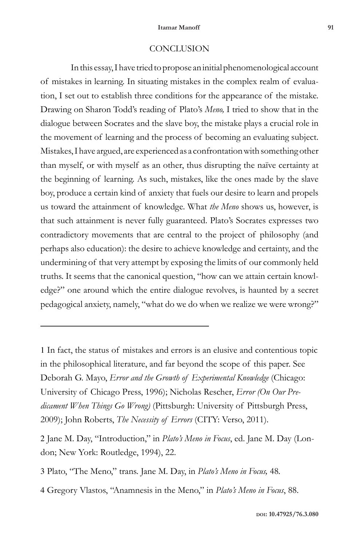## **CONCLUSION**

In this essay, I have tried to propose an initial phenomenological account of mistakes in learning. In situating mistakes in the complex realm of evaluation, I set out to establish three conditions for the appearance of the mistake. Drawing on Sharon Todd's reading of Plato's *Meno,* I tried to show that in the dialogue between Socrates and the slave boy, the mistake plays a crucial role in the movement of learning and the process of becoming an evaluating subject. Mistakes, I have argued, are experienced as a confrontation with something other than myself, or with myself as an other, thus disrupting the naïve certainty at the beginning of learning. As such, mistakes, like the ones made by the slave boy, produce a certain kind of anxiety that fuels our desire to learn and propels us toward the attainment of knowledge. What *the Meno* shows us, however, is that such attainment is never fully guaranteed. Plato's Socrates expresses two contradictory movements that are central to the project of philosophy (and perhaps also education): the desire to achieve knowledge and certainty, and the undermining of that very attempt by exposing the limits of our commonly held truths. It seems that the canonical question, "how can we attain certain knowledge?" one around which the entire dialogue revolves, is haunted by a secret pedagogical anxiety, namely, "what do we do when we realize we were wrong?"

1 In fact, the status of mistakes and errors is an elusive and contentious topic in the philosophical literature, and far beyond the scope of this paper. See Deborah G. Mayo, *Error and the Growth of Experimental Knowledge* (Chicago: University of Chicago Press, 1996); Nicholas Rescher, *Error (On Our Predicament When Things Go Wrong)* (Pittsburgh: University of Pittsburgh Press, 2009); John Roberts, *The Necessity of Errors* (CITY: Verso, 2011).

2 Jane M. Day, "Introduction," in *Plato's Meno in Focus*, ed. Jane M. Day (London; New York: Routledge, 1994), 22.

3 Plato, "The Meno," trans. Jane M. Day, in *Plato's Meno in Focus,* 48*.*

4 Gregory Vlastos, "Anamnesis in the Meno," in *Plato's Meno in Focus*, 88.